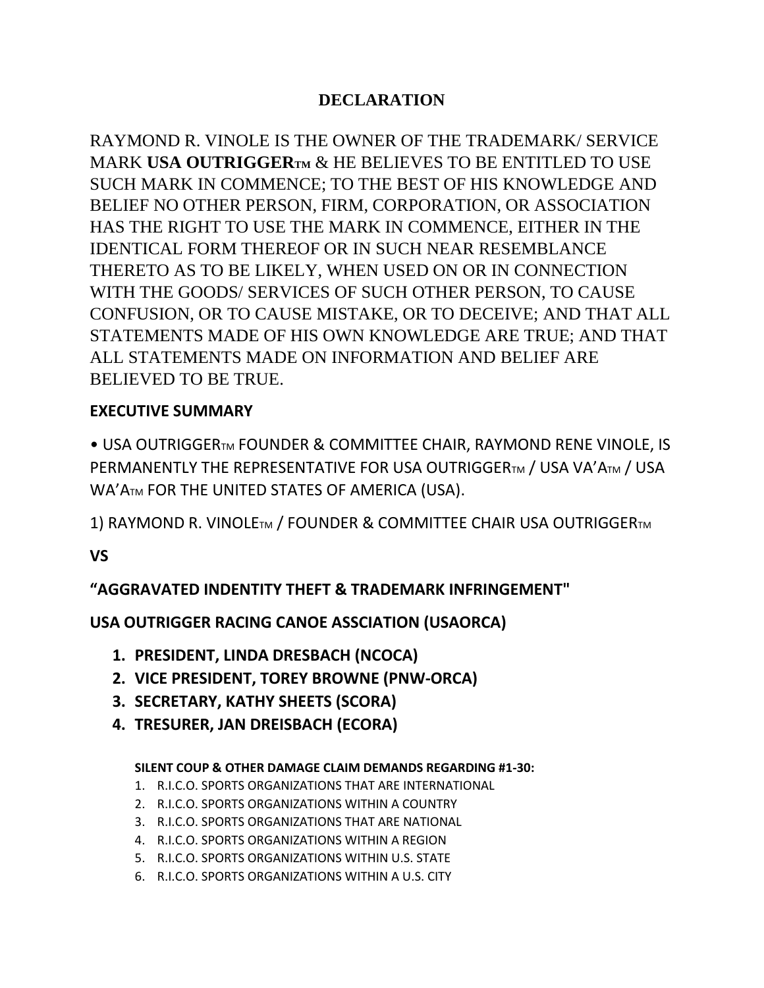# **DECLARATION**

RAYMOND R. VINOLE IS THE OWNER OF THE TRADEMARK/ SERVICE MARK **USA OUTRIGGERTM** & HE BELIEVES TO BE ENTITLED TO USE SUCH MARK IN COMMENCE; TO THE BEST OF HIS KNOWLEDGE AND BELIEF NO OTHER PERSON, FIRM, CORPORATION, OR ASSOCIATION HAS THE RIGHT TO USE THE MARK IN COMMENCE, EITHER IN THE IDENTICAL FORM THEREOF OR IN SUCH NEAR RESEMBLANCE THERETO AS TO BE LIKELY, WHEN USED ON OR IN CONNECTION WITH THE GOODS/ SERVICES OF SUCH OTHER PERSON, TO CAUSE CONFUSION, OR TO CAUSE MISTAKE, OR TO DECEIVE; AND THAT ALL STATEMENTS MADE OF HIS OWN KNOWLEDGE ARE TRUE; AND THAT ALL STATEMENTS MADE ON INFORMATION AND BELIEF ARE BELIEVED TO BE TRUE.

# **EXECUTIVE SUMMARY**

• USA OUTRIGGERTM FOUNDER & COMMITTEE CHAIR, RAYMOND RENE VINOLE, IS PERMANENTLY THE REPRESENTATIVE FOR USA OUTRIGGERTM / USA VA'ATM / USA WA'ATM FOR THE UNITED STATES OF AMERICA (USA).

1) RAYMOND R. VINOLETM / FOUNDER & COMMITTEE CHAIR USA OUTRIGGERTM

**VS**

# **"AGGRAVATED INDENTITY THEFT & TRADEMARK INFRINGEMENT"**

# **USA OUTRIGGER RACING CANOE ASSCIATION (USAORCA)**

- **1. PRESIDENT, LINDA DRESBACH (NCOCA)**
- **2. VICE PRESIDENT, TOREY BROWNE (PNW-ORCA)**
- **3. SECRETARY, KATHY SHEETS (SCORA)**
- **4. TRESURER, JAN DREISBACH (ECORA)**

# **SILENT COUP & OTHER DAMAGE CLAIM DEMANDS REGARDING #1-30:**

- 1. R.I.C.O. SPORTS ORGANIZATIONS THAT ARE INTERNATIONAL
- 2. R.I.C.O. SPORTS ORGANIZATIONS WITHIN A COUNTRY
- 3. R.I.C.O. SPORTS ORGANIZATIONS THAT ARE NATIONAL
- 4. R.I.C.O. SPORTS ORGANIZATIONS WITHIN A REGION
- 5. R.I.C.O. SPORTS ORGANIZATIONS WITHIN U.S. STATE
- 6. R.I.C.O. SPORTS ORGANIZATIONS WITHIN A U.S. CITY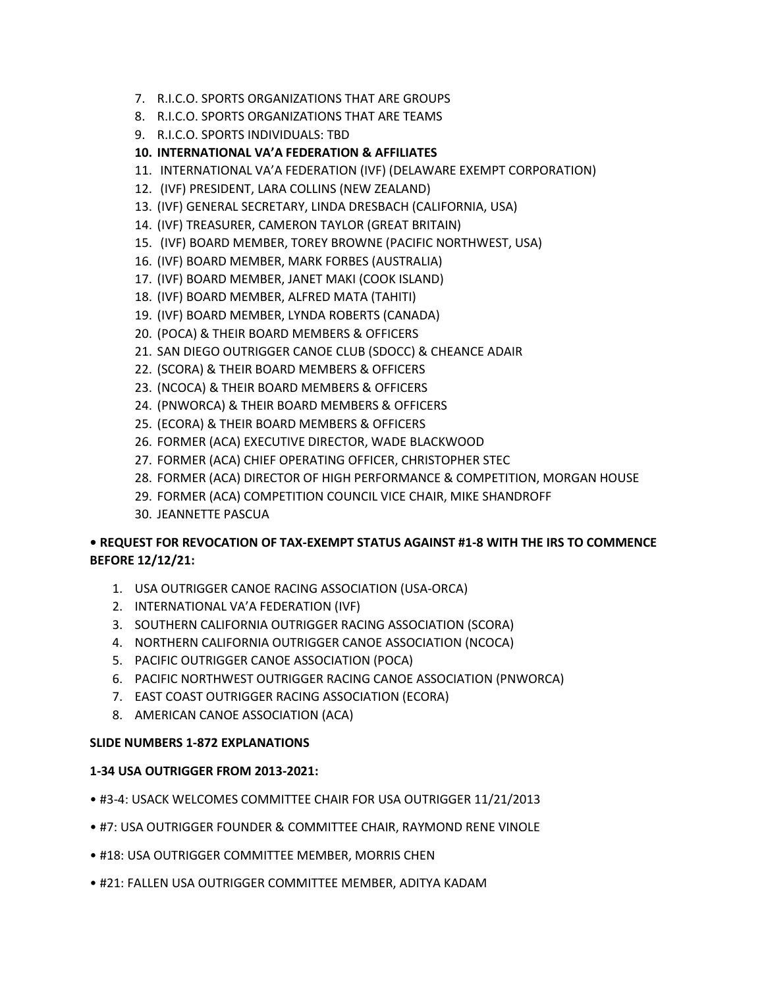- 7. R.I.C.O. SPORTS ORGANIZATIONS THAT ARE GROUPS
- 8. R.I.C.O. SPORTS ORGANIZATIONS THAT ARE TEAMS
- 9. R.I.C.O. SPORTS INDIVIDUALS: TBD

#### **10. INTERNATIONAL VA'A FEDERATION & AFFILIATES**

- 11. INTERNATIONAL VA'A FEDERATION (IVF) (DELAWARE EXEMPT CORPORATION)
- 12. (IVF) PRESIDENT, LARA COLLINS (NEW ZEALAND)
- 13. (IVF) GENERAL SECRETARY, LINDA DRESBACH (CALIFORNIA, USA)
- 14. (IVF) TREASURER, CAMERON TAYLOR (GREAT BRITAIN)
- 15. (IVF) BOARD MEMBER, TOREY BROWNE (PACIFIC NORTHWEST, USA)
- 16. (IVF) BOARD MEMBER, MARK FORBES (AUSTRALIA)
- 17. (IVF) BOARD MEMBER, JANET MAKI (COOK ISLAND)
- 18. (IVF) BOARD MEMBER, ALFRED MATA (TAHITI)
- 19. (IVF) BOARD MEMBER, LYNDA ROBERTS (CANADA)
- 20. (POCA) & THEIR BOARD MEMBERS & OFFICERS
- 21. SAN DIEGO OUTRIGGER CANOE CLUB (SDOCC) & CHEANCE ADAIR
- 22. (SCORA) & THEIR BOARD MEMBERS & OFFICERS
- 23. (NCOCA) & THEIR BOARD MEMBERS & OFFICERS
- 24. (PNWORCA) & THEIR BOARD MEMBERS & OFFICERS
- 25. (ECORA) & THEIR BOARD MEMBERS & OFFICERS
- 26. FORMER (ACA) EXECUTIVE DIRECTOR, WADE BLACKWOOD
- 27. FORMER (ACA) CHIEF OPERATING OFFICER, CHRISTOPHER STEC
- 28. FORMER (ACA) DIRECTOR OF HIGH PERFORMANCE & COMPETITION, MORGAN HOUSE
- 29. FORMER (ACA) COMPETITION COUNCIL VICE CHAIR, MIKE SHANDROFF
- 30. JEANNETTE PASCUA

# **• REQUEST FOR REVOCATION OF TAX-EXEMPT STATUS AGAINST #1-8 WITH THE IRS TO COMMENCE BEFORE 12/12/21:**

- 1. USA OUTRIGGER CANOE RACING ASSOCIATION (USA-ORCA)
- 2. INTERNATIONAL VA'A FEDERATION (IVF)
- 3. SOUTHERN CALIFORNIA OUTRIGGER RACING ASSOCIATION (SCORA)
- 4. NORTHERN CALIFORNIA OUTRIGGER CANOE ASSOCIATION (NCOCA)
- 5. PACIFIC OUTRIGGER CANOE ASSOCIATION (POCA)
- 6. PACIFIC NORTHWEST OUTRIGGER RACING CANOE ASSOCIATION (PNWORCA)
- 7. EAST COAST OUTRIGGER RACING ASSOCIATION (ECORA)
- 8. AMERICAN CANOE ASSOCIATION (ACA)

#### **SLIDE NUMBERS 1-872 EXPLANATIONS**

#### **1-34 USA OUTRIGGER FROM 2013-2021:**

- #3-4: USACK WELCOMES COMMITTEE CHAIR FOR USA OUTRIGGER 11/21/2013
- #7: USA OUTRIGGER FOUNDER & COMMITTEE CHAIR, RAYMOND RENE VINOLE
- #18: USA OUTRIGGER COMMITTEE MEMBER, MORRIS CHEN
- #21: FALLEN USA OUTRIGGER COMMITTEE MEMBER, ADITYA KADAM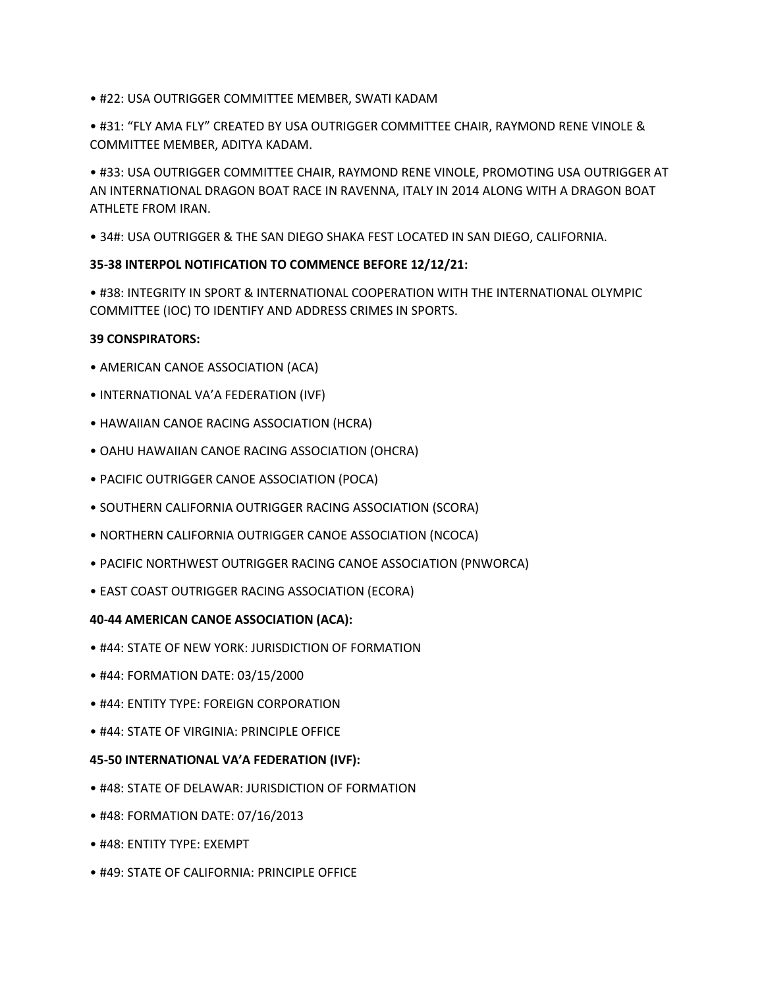- #22: USA OUTRIGGER COMMITTEE MEMBER, SWATI KADAM
- #31: "FLY AMA FLY" CREATED BY USA OUTRIGGER COMMITTEE CHAIR, RAYMOND RENE VINOLE & COMMITTEE MEMBER, ADITYA KADAM.

• #33: USA OUTRIGGER COMMITTEE CHAIR, RAYMOND RENE VINOLE, PROMOTING USA OUTRIGGER AT AN INTERNATIONAL DRAGON BOAT RACE IN RAVENNA, ITALY IN 2014 ALONG WITH A DRAGON BOAT ATHLETE FROM IRAN.

• 34#: USA OUTRIGGER & THE SAN DIEGO SHAKA FEST LOCATED IN SAN DIEGO, CALIFORNIA.

#### **35-38 INTERPOL NOTIFICATION TO COMMENCE BEFORE 12/12/21:**

• #38: INTEGRITY IN SPORT & INTERNATIONAL COOPERATION WITH THE INTERNATIONAL OLYMPIC COMMITTEE (IOC) TO IDENTIFY AND ADDRESS CRIMES IN SPORTS.

#### **39 CONSPIRATORS:**

- AMERICAN CANOE ASSOCIATION (ACA)
- INTERNATIONAL VA'A FEDERATION (IVF)
- HAWAIIAN CANOE RACING ASSOCIATION (HCRA)
- OAHU HAWAIIAN CANOE RACING ASSOCIATION (OHCRA)
- PACIFIC OUTRIGGER CANOE ASSOCIATION (POCA)
- SOUTHERN CALIFORNIA OUTRIGGER RACING ASSOCIATION (SCORA)
- NORTHERN CALIFORNIA OUTRIGGER CANOE ASSOCIATION (NCOCA)
- PACIFIC NORTHWEST OUTRIGGER RACING CANOE ASSOCIATION (PNWORCA)
- EAST COAST OUTRIGGER RACING ASSOCIATION (ECORA)

#### **40-44 AMERICAN CANOE ASSOCIATION (ACA):**

- #44: STATE OF NEW YORK: JURISDICTION OF FORMATION
- #44: FORMATION DATE: 03/15/2000
- #44: ENTITY TYPE: FOREIGN CORPORATION
- #44: STATE OF VIRGINIA: PRINCIPLE OFFICE

#### **45-50 INTERNATIONAL VA'A FEDERATION (IVF):**

- #48: STATE OF DELAWAR: JURISDICTION OF FORMATION
- #48: FORMATION DATE: 07/16/2013
- #48: ENTITY TYPE: EXEMPT
- #49: STATE OF CALIFORNIA: PRINCIPLE OFFICE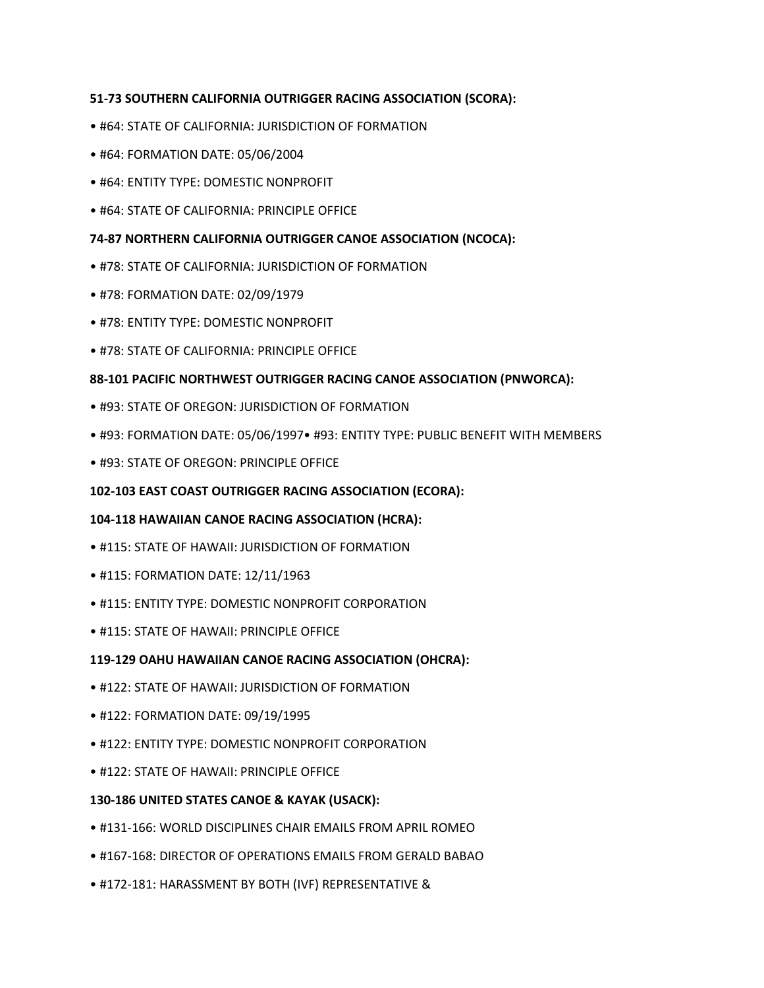#### **51-73 SOUTHERN CALIFORNIA OUTRIGGER RACING ASSOCIATION (SCORA):**

- #64: STATE OF CALIFORNIA: JURISDICTION OF FORMATION
- #64: FORMATION DATE: 05/06/2004
- #64: ENTITY TYPE: DOMESTIC NONPROFIT
- #64: STATE OF CALIFORNIA: PRINCIPLE OFFICE

#### **74-87 NORTHERN CALIFORNIA OUTRIGGER CANOE ASSOCIATION (NCOCA):**

- #78: STATE OF CALIFORNIA: JURISDICTION OF FORMATION
- #78: FORMATION DATE: 02/09/1979
- #78: ENTITY TYPE: DOMESTIC NONPROFIT
- #78: STATE OF CALIFORNIA: PRINCIPLE OFFICE

#### **88-101 PACIFIC NORTHWEST OUTRIGGER RACING CANOE ASSOCIATION (PNWORCA):**

- #93: STATE OF OREGON: JURISDICTION OF FORMATION
- #93: FORMATION DATE: 05/06/1997• #93: ENTITY TYPE: PUBLIC BENEFIT WITH MEMBERS
- #93: STATE OF OREGON: PRINCIPLE OFFICE

#### **102-103 EAST COAST OUTRIGGER RACING ASSOCIATION (ECORA):**

## **104-118 HAWAIIAN CANOE RACING ASSOCIATION (HCRA):**

- #115: STATE OF HAWAII: JURISDICTION OF FORMATION
- #115: FORMATION DATE: 12/11/1963
- #115: ENTITY TYPE: DOMESTIC NONPROFIT CORPORATION
- #115: STATE OF HAWAII: PRINCIPLE OFFICE

## **119-129 OAHU HAWAIIAN CANOE RACING ASSOCIATION (OHCRA):**

- #122: STATE OF HAWAII: JURISDICTION OF FORMATION
- #122: FORMATION DATE: 09/19/1995
- #122: ENTITY TYPE: DOMESTIC NONPROFIT CORPORATION
- #122: STATE OF HAWAII: PRINCIPLE OFFICE

#### **130-186 UNITED STATES CANOE & KAYAK (USACK):**

- #131-166: WORLD DISCIPLINES CHAIR EMAILS FROM APRIL ROMEO
- #167-168: DIRECTOR OF OPERATIONS EMAILS FROM GERALD BABAO
- #172-181: HARASSMENT BY BOTH (IVF) REPRESENTATIVE &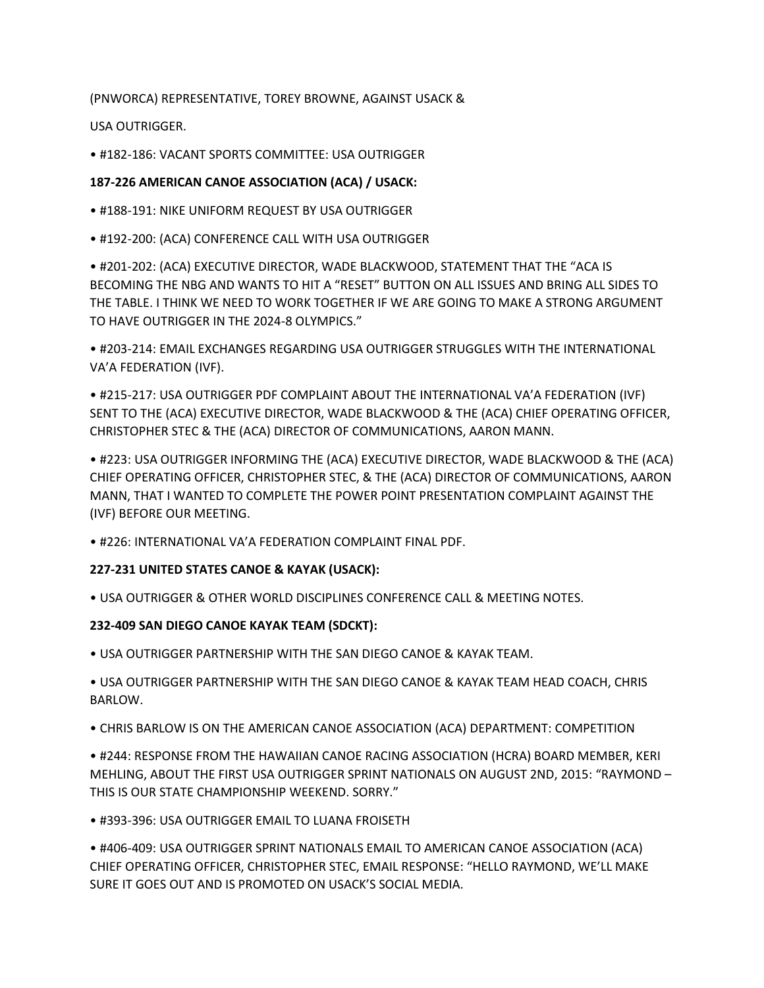(PNWORCA) REPRESENTATIVE, TOREY BROWNE, AGAINST USACK &

USA OUTRIGGER.

• #182-186: VACANT SPORTS COMMITTEE: USA OUTRIGGER

#### **187-226 AMERICAN CANOE ASSOCIATION (ACA) / USACK:**

- #188-191: NIKE UNIFORM REQUEST BY USA OUTRIGGER
- #192-200: (ACA) CONFERENCE CALL WITH USA OUTRIGGER

• #201-202: (ACA) EXECUTIVE DIRECTOR, WADE BLACKWOOD, STATEMENT THAT THE "ACA IS BECOMING THE NBG AND WANTS TO HIT A "RESET" BUTTON ON ALL ISSUES AND BRING ALL SIDES TO THE TABLE. I THINK WE NEED TO WORK TOGETHER IF WE ARE GOING TO MAKE A STRONG ARGUMENT TO HAVE OUTRIGGER IN THE 2024-8 OLYMPICS."

• #203-214: EMAIL EXCHANGES REGARDING USA OUTRIGGER STRUGGLES WITH THE INTERNATIONAL VA'A FEDERATION (IVF).

• #215-217: USA OUTRIGGER PDF COMPLAINT ABOUT THE INTERNATIONAL VA'A FEDERATION (IVF) SENT TO THE (ACA) EXECUTIVE DIRECTOR, WADE BLACKWOOD & THE (ACA) CHIEF OPERATING OFFICER, CHRISTOPHER STEC & THE (ACA) DIRECTOR OF COMMUNICATIONS, AARON MANN.

• #223: USA OUTRIGGER INFORMING THE (ACA) EXECUTIVE DIRECTOR, WADE BLACKWOOD & THE (ACA) CHIEF OPERATING OFFICER, CHRISTOPHER STEC, & THE (ACA) DIRECTOR OF COMMUNICATIONS, AARON MANN, THAT I WANTED TO COMPLETE THE POWER POINT PRESENTATION COMPLAINT AGAINST THE (IVF) BEFORE OUR MEETING.

• #226: INTERNATIONAL VA'A FEDERATION COMPLAINT FINAL PDF.

## **227-231 UNITED STATES CANOE & KAYAK (USACK):**

• USA OUTRIGGER & OTHER WORLD DISCIPLINES CONFERENCE CALL & MEETING NOTES.

## **232-409 SAN DIEGO CANOE KAYAK TEAM (SDCKT):**

• USA OUTRIGGER PARTNERSHIP WITH THE SAN DIEGO CANOE & KAYAK TEAM.

• USA OUTRIGGER PARTNERSHIP WITH THE SAN DIEGO CANOE & KAYAK TEAM HEAD COACH, CHRIS BARLOW.

• CHRIS BARLOW IS ON THE AMERICAN CANOE ASSOCIATION (ACA) DEPARTMENT: COMPETITION

• #244: RESPONSE FROM THE HAWAIIAN CANOE RACING ASSOCIATION (HCRA) BOARD MEMBER, KERI MEHLING, ABOUT THE FIRST USA OUTRIGGER SPRINT NATIONALS ON AUGUST 2ND, 2015: "RAYMOND – THIS IS OUR STATE CHAMPIONSHIP WEEKEND. SORRY."

• #393-396: USA OUTRIGGER EMAIL TO LUANA FROISETH

• #406-409: USA OUTRIGGER SPRINT NATIONALS EMAIL TO AMERICAN CANOE ASSOCIATION (ACA) CHIEF OPERATING OFFICER, CHRISTOPHER STEC, EMAIL RESPONSE: "HELLO RAYMOND, WE'LL MAKE SURE IT GOES OUT AND IS PROMOTED ON USACK'S SOCIAL MEDIA.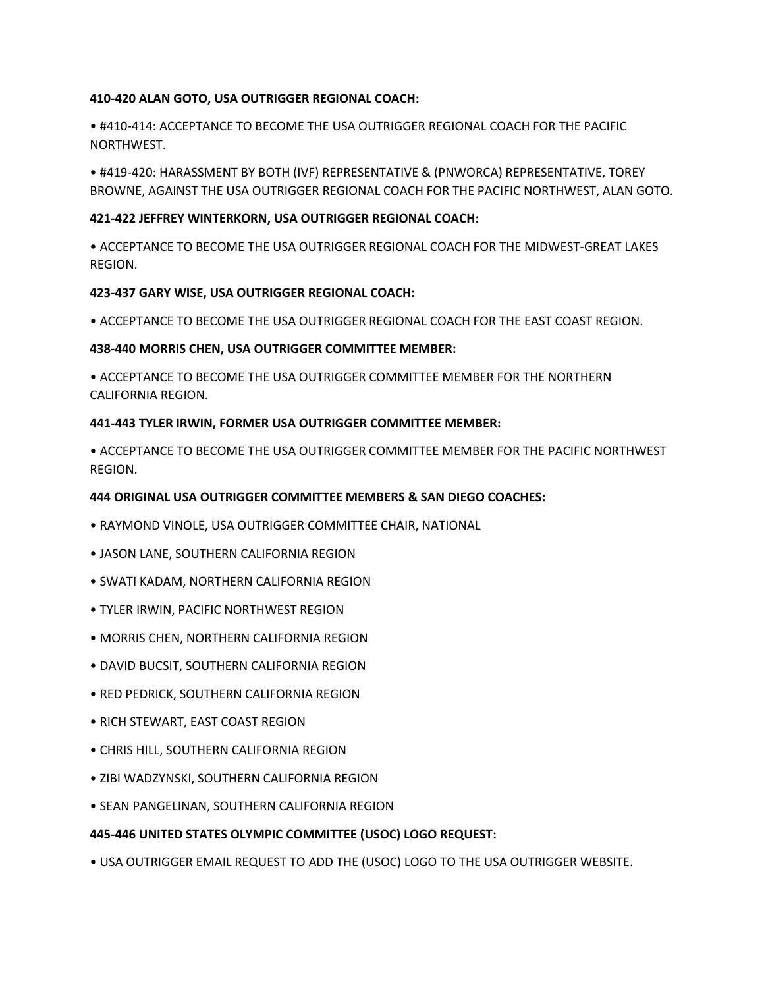#### **410-420 ALAN GOTO, USA OUTRIGGER REGIONAL COACH:**

• #410-414: ACCEPTANCE TO BECOME THE USA OUTRIGGER REGIONAL COACH FOR THE PACIFIC NORTHWEST.

• #419-420: HARASSMENT BY BOTH (IVF) REPRESENTATIVE & (PNWORCA) REPRESENTATIVE, TOREY BROWNE, AGAINST THE USA OUTRIGGER REGIONAL COACH FOR THE PACIFIC NORTHWEST, ALAN GOTO.

#### **421-422 JEFFREY WINTERKORN, USA OUTRIGGER REGIONAL COACH:**

• ACCEPTANCE TO BECOME THE USA OUTRIGGER REGIONAL COACH FOR THE MIDWEST-GREAT LAKES REGION.

#### **423-437 GARY WISE, USA OUTRIGGER REGIONAL COACH:**

• ACCEPTANCE TO BECOME THE USA OUTRIGGER REGIONAL COACH FOR THE EAST COAST REGION.

#### **438-440 MORRIS CHEN, USA OUTRIGGER COMMITTEE MEMBER:**

• ACCEPTANCE TO BECOME THE USA OUTRIGGER COMMITTEE MEMBER FOR THE NORTHERN CALIFORNIA REGION.

#### **441-443 TYLER IRWIN, FORMER USA OUTRIGGER COMMITTEE MEMBER:**

• ACCEPTANCE TO BECOME THE USA OUTRIGGER COMMITTEE MEMBER FOR THE PACIFIC NORTHWEST REGION.

#### **444 ORIGINAL USA OUTRIGGER COMMITTEE MEMBERS & SAN DIEGO COACHES:**

- RAYMOND VINOLE, USA OUTRIGGER COMMITTEE CHAIR, NATIONAL
- JASON LANE, SOUTHERN CALIFORNIA REGION
- SWATI KADAM, NORTHERN CALIFORNIA REGION
- TYLER IRWIN, PACIFIC NORTHWEST REGION
- MORRIS CHEN, NORTHERN CALIFORNIA REGION
- DAVID BUCSIT, SOUTHERN CALIFORNIA REGION
- RED PEDRICK, SOUTHERN CALIFORNIA REGION
- RICH STEWART, EAST COAST REGION
- CHRIS HILL, SOUTHERN CALIFORNIA REGION
- ZIBI WADZYNSKI, SOUTHERN CALIFORNIA REGION
- SEAN PANGELINAN, SOUTHERN CALIFORNIA REGION

#### **445-446 UNITED STATES OLYMPIC COMMITTEE (USOC) LOGO REQUEST:**

• USA OUTRIGGER EMAIL REQUEST TO ADD THE (USOC) LOGO TO THE USA OUTRIGGER WEBSITE.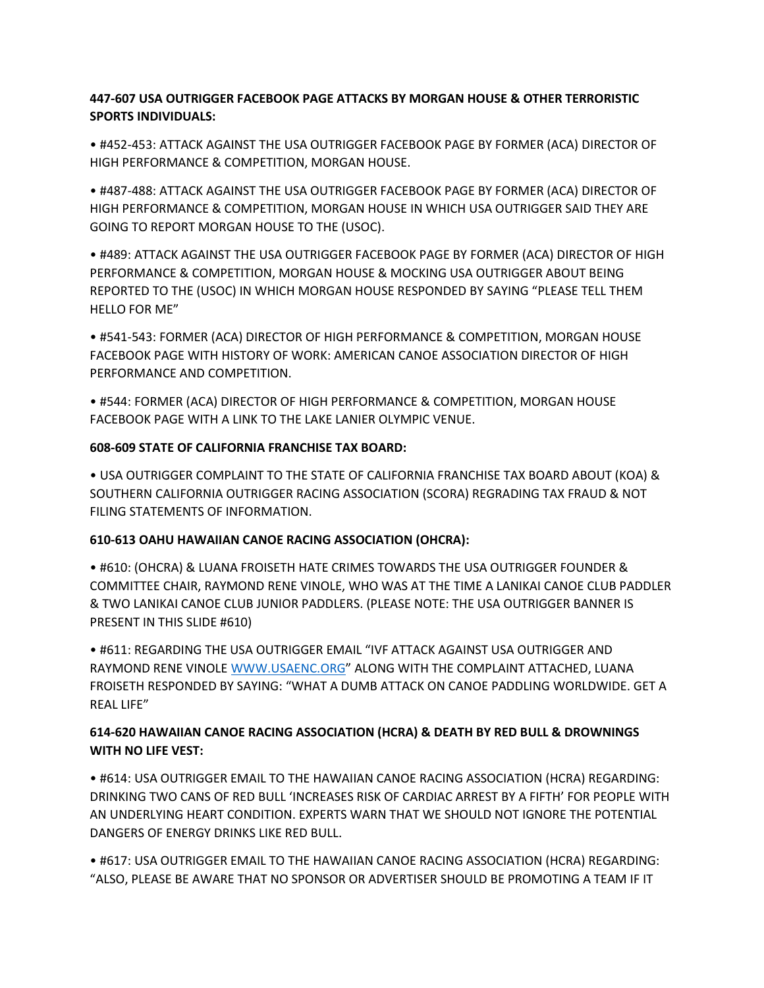## **447-607 USA OUTRIGGER FACEBOOK PAGE ATTACKS BY MORGAN HOUSE & OTHER TERRORISTIC SPORTS INDIVIDUALS:**

• #452-453: ATTACK AGAINST THE USA OUTRIGGER FACEBOOK PAGE BY FORMER (ACA) DIRECTOR OF HIGH PERFORMANCE & COMPETITION, MORGAN HOUSE.

• #487-488: ATTACK AGAINST THE USA OUTRIGGER FACEBOOK PAGE BY FORMER (ACA) DIRECTOR OF HIGH PERFORMANCE & COMPETITION, MORGAN HOUSE IN WHICH USA OUTRIGGER SAID THEY ARE GOING TO REPORT MORGAN HOUSE TO THE (USOC).

• #489: ATTACK AGAINST THE USA OUTRIGGER FACEBOOK PAGE BY FORMER (ACA) DIRECTOR OF HIGH PERFORMANCE & COMPETITION, MORGAN HOUSE & MOCKING USA OUTRIGGER ABOUT BEING REPORTED TO THE (USOC) IN WHICH MORGAN HOUSE RESPONDED BY SAYING "PLEASE TELL THEM HELLO FOR ME"

• #541-543: FORMER (ACA) DIRECTOR OF HIGH PERFORMANCE & COMPETITION, MORGAN HOUSE FACEBOOK PAGE WITH HISTORY OF WORK: AMERICAN CANOE ASSOCIATION DIRECTOR OF HIGH PERFORMANCE AND COMPETITION.

• #544: FORMER (ACA) DIRECTOR OF HIGH PERFORMANCE & COMPETITION, MORGAN HOUSE FACEBOOK PAGE WITH A LINK TO THE LAKE LANIER OLYMPIC VENUE.

## **608-609 STATE OF CALIFORNIA FRANCHISE TAX BOARD:**

• USA OUTRIGGER COMPLAINT TO THE STATE OF CALIFORNIA FRANCHISE TAX BOARD ABOUT (KOA) & SOUTHERN CALIFORNIA OUTRIGGER RACING ASSOCIATION (SCORA) REGRADING TAX FRAUD & NOT FILING STATEMENTS OF INFORMATION.

## **610-613 OAHU HAWAIIAN CANOE RACING ASSOCIATION (OHCRA):**

• #610: (OHCRA) & LUANA FROISETH HATE CRIMES TOWARDS THE USA OUTRIGGER FOUNDER & COMMITTEE CHAIR, RAYMOND RENE VINOLE, WHO WAS AT THE TIME A LANIKAI CANOE CLUB PADDLER & TWO LANIKAI CANOE CLUB JUNIOR PADDLERS. (PLEASE NOTE: THE USA OUTRIGGER BANNER IS PRESENT IN THIS SLIDE #610)

• #611: REGARDING THE USA OUTRIGGER EMAIL "IVF ATTACK AGAINST USA OUTRIGGER AND RAYMOND RENE VINOLE [WWW.USAENC.ORG](http://www.usaenc.org/)" ALONG WITH THE COMPLAINT ATTACHED, LUANA FROISETH RESPONDED BY SAYING: "WHAT A DUMB ATTACK ON CANOE PADDLING WORLDWIDE. GET A REAL LIFE"

# **614-620 HAWAIIAN CANOE RACING ASSOCIATION (HCRA) & DEATH BY RED BULL & DROWNINGS WITH NO LIFE VEST:**

• #614: USA OUTRIGGER EMAIL TO THE HAWAIIAN CANOE RACING ASSOCIATION (HCRA) REGARDING: DRINKING TWO CANS OF RED BULL 'INCREASES RISK OF CARDIAC ARREST BY A FIFTH' FOR PEOPLE WITH AN UNDERLYING HEART CONDITION. EXPERTS WARN THAT WE SHOULD NOT IGNORE THE POTENTIAL DANGERS OF ENERGY DRINKS LIKE RED BULL.

• #617: USA OUTRIGGER EMAIL TO THE HAWAIIAN CANOE RACING ASSOCIATION (HCRA) REGARDING: "ALSO, PLEASE BE AWARE THAT NO SPONSOR OR ADVERTISER SHOULD BE PROMOTING A TEAM IF IT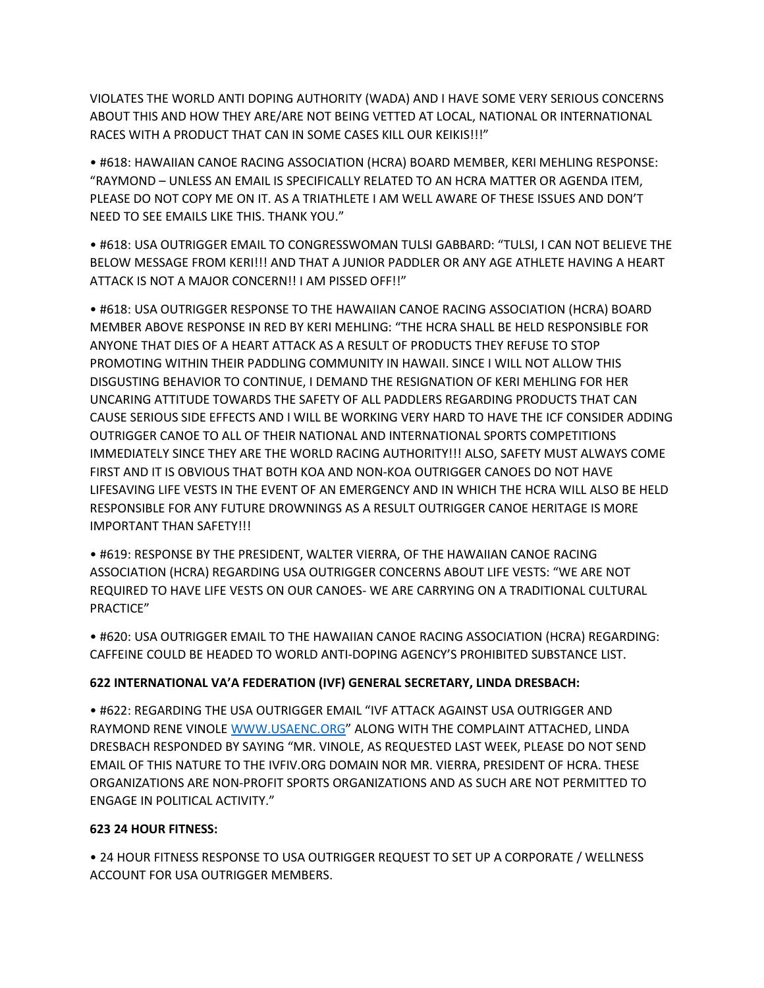VIOLATES THE WORLD ANTI DOPING AUTHORITY (WADA) AND I HAVE SOME VERY SERIOUS CONCERNS ABOUT THIS AND HOW THEY ARE/ARE NOT BEING VETTED AT LOCAL, NATIONAL OR INTERNATIONAL RACES WITH A PRODUCT THAT CAN IN SOME CASES KILL OUR KEIKIS!!!"

• #618: HAWAIIAN CANOE RACING ASSOCIATION (HCRA) BOARD MEMBER, KERI MEHLING RESPONSE: "RAYMOND – UNLESS AN EMAIL IS SPECIFICALLY RELATED TO AN HCRA MATTER OR AGENDA ITEM, PLEASE DO NOT COPY ME ON IT. AS A TRIATHLETE I AM WELL AWARE OF THESE ISSUES AND DON'T NEED TO SEE EMAILS LIKE THIS. THANK YOU."

• #618: USA OUTRIGGER EMAIL TO CONGRESSWOMAN TULSI GABBARD: "TULSI, I CAN NOT BELIEVE THE BELOW MESSAGE FROM KERI!!! AND THAT A JUNIOR PADDLER OR ANY AGE ATHLETE HAVING A HEART ATTACK IS NOT A MAJOR CONCERN!! I AM PISSED OFF!!"

• #618: USA OUTRIGGER RESPONSE TO THE HAWAIIAN CANOE RACING ASSOCIATION (HCRA) BOARD MEMBER ABOVE RESPONSE IN RED BY KERI MEHLING: "THE HCRA SHALL BE HELD RESPONSIBLE FOR ANYONE THAT DIES OF A HEART ATTACK AS A RESULT OF PRODUCTS THEY REFUSE TO STOP PROMOTING WITHIN THEIR PADDLING COMMUNITY IN HAWAII. SINCE I WILL NOT ALLOW THIS DISGUSTING BEHAVIOR TO CONTINUE, I DEMAND THE RESIGNATION OF KERI MEHLING FOR HER UNCARING ATTITUDE TOWARDS THE SAFETY OF ALL PADDLERS REGARDING PRODUCTS THAT CAN CAUSE SERIOUS SIDE EFFECTS AND I WILL BE WORKING VERY HARD TO HAVE THE ICF CONSIDER ADDING OUTRIGGER CANOE TO ALL OF THEIR NATIONAL AND INTERNATIONAL SPORTS COMPETITIONS IMMEDIATELY SINCE THEY ARE THE WORLD RACING AUTHORITY!!! ALSO, SAFETY MUST ALWAYS COME FIRST AND IT IS OBVIOUS THAT BOTH KOA AND NON-KOA OUTRIGGER CANOES DO NOT HAVE LIFESAVING LIFE VESTS IN THE EVENT OF AN EMERGENCY AND IN WHICH THE HCRA WILL ALSO BE HELD RESPONSIBLE FOR ANY FUTURE DROWNINGS AS A RESULT OUTRIGGER CANOE HERITAGE IS MORE IMPORTANT THAN SAFETY!!!

• #619: RESPONSE BY THE PRESIDENT, WALTER VIERRA, OF THE HAWAIIAN CANOE RACING ASSOCIATION (HCRA) REGARDING USA OUTRIGGER CONCERNS ABOUT LIFE VESTS: "WE ARE NOT REQUIRED TO HAVE LIFE VESTS ON OUR CANOES- WE ARE CARRYING ON A TRADITIONAL CULTURAL PRACTICE"

• #620: USA OUTRIGGER EMAIL TO THE HAWAIIAN CANOE RACING ASSOCIATION (HCRA) REGARDING: CAFFEINE COULD BE HEADED TO WORLD ANTI-DOPING AGENCY'S PROHIBITED SUBSTANCE LIST.

## **622 INTERNATIONAL VA'A FEDERATION (IVF) GENERAL SECRETARY, LINDA DRESBACH:**

• #622: REGARDING THE USA OUTRIGGER EMAIL "IVF ATTACK AGAINST USA OUTRIGGER AND RAYMOND RENE VINOLE [WWW.USAENC.ORG](http://www.usaenc.org/)" ALONG WITH THE COMPLAINT ATTACHED, LINDA DRESBACH RESPONDED BY SAYING "MR. VINOLE, AS REQUESTED LAST WEEK, PLEASE DO NOT SEND EMAIL OF THIS NATURE TO THE IVFIV.ORG DOMAIN NOR MR. VIERRA, PRESIDENT OF HCRA. THESE ORGANIZATIONS ARE NON-PROFIT SPORTS ORGANIZATIONS AND AS SUCH ARE NOT PERMITTED TO ENGAGE IN POLITICAL ACTIVITY."

#### **623 24 HOUR FITNESS:**

• 24 HOUR FITNESS RESPONSE TO USA OUTRIGGER REQUEST TO SET UP A CORPORATE / WELLNESS ACCOUNT FOR USA OUTRIGGER MEMBERS.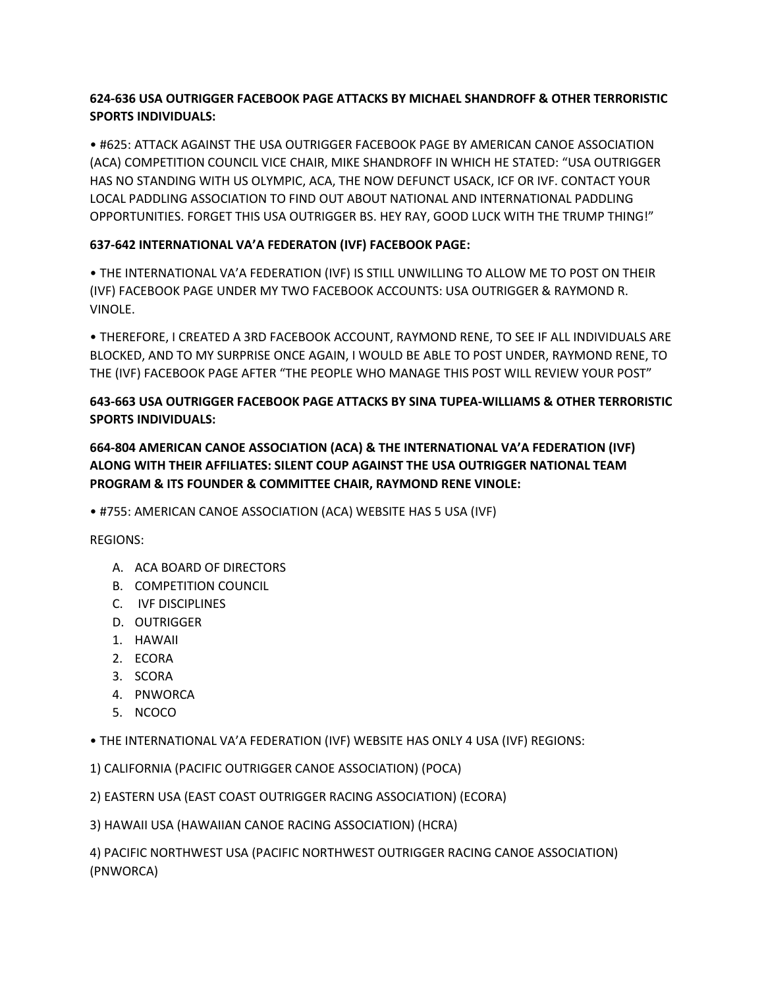# **624-636 USA OUTRIGGER FACEBOOK PAGE ATTACKS BY MICHAEL SHANDROFF & OTHER TERRORISTIC SPORTS INDIVIDUALS:**

• #625: ATTACK AGAINST THE USA OUTRIGGER FACEBOOK PAGE BY AMERICAN CANOE ASSOCIATION (ACA) COMPETITION COUNCIL VICE CHAIR, MIKE SHANDROFF IN WHICH HE STATED: "USA OUTRIGGER HAS NO STANDING WITH US OLYMPIC, ACA, THE NOW DEFUNCT USACK, ICF OR IVF. CONTACT YOUR LOCAL PADDLING ASSOCIATION TO FIND OUT ABOUT NATIONAL AND INTERNATIONAL PADDLING OPPORTUNITIES. FORGET THIS USA OUTRIGGER BS. HEY RAY, GOOD LUCK WITH THE TRUMP THING!"

# **637-642 INTERNATIONAL VA'A FEDERATON (IVF) FACEBOOK PAGE:**

• THE INTERNATIONAL VA'A FEDERATION (IVF) IS STILL UNWILLING TO ALLOW ME TO POST ON THEIR (IVF) FACEBOOK PAGE UNDER MY TWO FACEBOOK ACCOUNTS: USA OUTRIGGER & RAYMOND R. VINOLE.

• THEREFORE, I CREATED A 3RD FACEBOOK ACCOUNT, RAYMOND RENE, TO SEE IF ALL INDIVIDUALS ARE BLOCKED, AND TO MY SURPRISE ONCE AGAIN, I WOULD BE ABLE TO POST UNDER, RAYMOND RENE, TO THE (IVF) FACEBOOK PAGE AFTER "THE PEOPLE WHO MANAGE THIS POST WILL REVIEW YOUR POST"

# **643-663 USA OUTRIGGER FACEBOOK PAGE ATTACKS BY SINA TUPEA-WILLIAMS & OTHER TERRORISTIC SPORTS INDIVIDUALS:**

**664-804 AMERICAN CANOE ASSOCIATION (ACA) & THE INTERNATIONAL VA'A FEDERATION (IVF) ALONG WITH THEIR AFFILIATES: SILENT COUP AGAINST THE USA OUTRIGGER NATIONAL TEAM PROGRAM & ITS FOUNDER & COMMITTEE CHAIR, RAYMOND RENE VINOLE:**

• #755: AMERICAN CANOE ASSOCIATION (ACA) WEBSITE HAS 5 USA (IVF)

REGIONS:

- A. ACA BOARD OF DIRECTORS
- B. COMPETITION COUNCIL
- C. IVF DISCIPLINES
- D. OUTRIGGER
- 1. HAWAII
- 2. ECORA
- 3. SCORA
- 4. PNWORCA
- 5. NCOCO
- THE INTERNATIONAL VA'A FEDERATION (IVF) WEBSITE HAS ONLY 4 USA (IVF) REGIONS:
- 1) CALIFORNIA (PACIFIC OUTRIGGER CANOE ASSOCIATION) (POCA)
- 2) EASTERN USA (EAST COAST OUTRIGGER RACING ASSOCIATION) (ECORA)
- 3) HAWAII USA (HAWAIIAN CANOE RACING ASSOCIATION) (HCRA)

4) PACIFIC NORTHWEST USA (PACIFIC NORTHWEST OUTRIGGER RACING CANOE ASSOCIATION) (PNWORCA)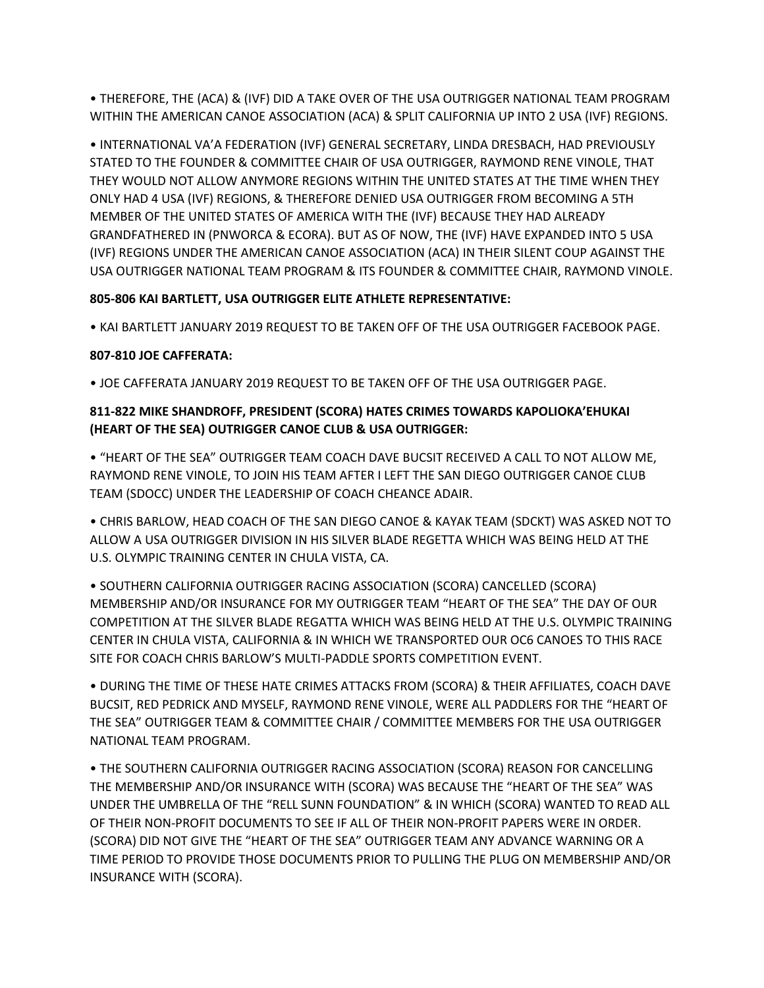• THEREFORE, THE (ACA) & (IVF) DID A TAKE OVER OF THE USA OUTRIGGER NATIONAL TEAM PROGRAM WITHIN THE AMERICAN CANOE ASSOCIATION (ACA) & SPLIT CALIFORNIA UP INTO 2 USA (IVF) REGIONS.

• INTERNATIONAL VA'A FEDERATION (IVF) GENERAL SECRETARY, LINDA DRESBACH, HAD PREVIOUSLY STATED TO THE FOUNDER & COMMITTEE CHAIR OF USA OUTRIGGER, RAYMOND RENE VINOLE, THAT THEY WOULD NOT ALLOW ANYMORE REGIONS WITHIN THE UNITED STATES AT THE TIME WHEN THEY ONLY HAD 4 USA (IVF) REGIONS, & THEREFORE DENIED USA OUTRIGGER FROM BECOMING A 5TH MEMBER OF THE UNITED STATES OF AMERICA WITH THE (IVF) BECAUSE THEY HAD ALREADY GRANDFATHERED IN (PNWORCA & ECORA). BUT AS OF NOW, THE (IVF) HAVE EXPANDED INTO 5 USA (IVF) REGIONS UNDER THE AMERICAN CANOE ASSOCIATION (ACA) IN THEIR SILENT COUP AGAINST THE USA OUTRIGGER NATIONAL TEAM PROGRAM & ITS FOUNDER & COMMITTEE CHAIR, RAYMOND VINOLE.

## **805-806 KAI BARTLETT, USA OUTRIGGER ELITE ATHLETE REPRESENTATIVE:**

• KAI BARTLETT JANUARY 2019 REQUEST TO BE TAKEN OFF OF THE USA OUTRIGGER FACEBOOK PAGE.

## **807-810 JOE CAFFERATA:**

• JOE CAFFERATA JANUARY 2019 REQUEST TO BE TAKEN OFF OF THE USA OUTRIGGER PAGE.

# **811-822 MIKE SHANDROFF, PRESIDENT (SCORA) HATES CRIMES TOWARDS KAPOLIOKA'EHUKAI (HEART OF THE SEA) OUTRIGGER CANOE CLUB & USA OUTRIGGER:**

• "HEART OF THE SEA" OUTRIGGER TEAM COACH DAVE BUCSIT RECEIVED A CALL TO NOT ALLOW ME, RAYMOND RENE VINOLE, TO JOIN HIS TEAM AFTER I LEFT THE SAN DIEGO OUTRIGGER CANOE CLUB TEAM (SDOCC) UNDER THE LEADERSHIP OF COACH CHEANCE ADAIR.

• CHRIS BARLOW, HEAD COACH OF THE SAN DIEGO CANOE & KAYAK TEAM (SDCKT) WAS ASKED NOT TO ALLOW A USA OUTRIGGER DIVISION IN HIS SILVER BLADE REGETTA WHICH WAS BEING HELD AT THE U.S. OLYMPIC TRAINING CENTER IN CHULA VISTA, CA.

• SOUTHERN CALIFORNIA OUTRIGGER RACING ASSOCIATION (SCORA) CANCELLED (SCORA) MEMBERSHIP AND/OR INSURANCE FOR MY OUTRIGGER TEAM "HEART OF THE SEA" THE DAY OF OUR COMPETITION AT THE SILVER BLADE REGATTA WHICH WAS BEING HELD AT THE U.S. OLYMPIC TRAINING CENTER IN CHULA VISTA, CALIFORNIA & IN WHICH WE TRANSPORTED OUR OC6 CANOES TO THIS RACE SITE FOR COACH CHRIS BARLOW'S MULTI-PADDLE SPORTS COMPETITION EVENT.

• DURING THE TIME OF THESE HATE CRIMES ATTACKS FROM (SCORA) & THEIR AFFILIATES, COACH DAVE BUCSIT, RED PEDRICK AND MYSELF, RAYMOND RENE VINOLE, WERE ALL PADDLERS FOR THE "HEART OF THE SEA" OUTRIGGER TEAM & COMMITTEE CHAIR / COMMITTEE MEMBERS FOR THE USA OUTRIGGER NATIONAL TEAM PROGRAM.

• THE SOUTHERN CALIFORNIA OUTRIGGER RACING ASSOCIATION (SCORA) REASON FOR CANCELLING THE MEMBERSHIP AND/OR INSURANCE WITH (SCORA) WAS BECAUSE THE "HEART OF THE SEA" WAS UNDER THE UMBRELLA OF THE "RELL SUNN FOUNDATION" & IN WHICH (SCORA) WANTED TO READ ALL OF THEIR NON-PROFIT DOCUMENTS TO SEE IF ALL OF THEIR NON-PROFIT PAPERS WERE IN ORDER. (SCORA) DID NOT GIVE THE "HEART OF THE SEA" OUTRIGGER TEAM ANY ADVANCE WARNING OR A TIME PERIOD TO PROVIDE THOSE DOCUMENTS PRIOR TO PULLING THE PLUG ON MEMBERSHIP AND/OR INSURANCE WITH (SCORA).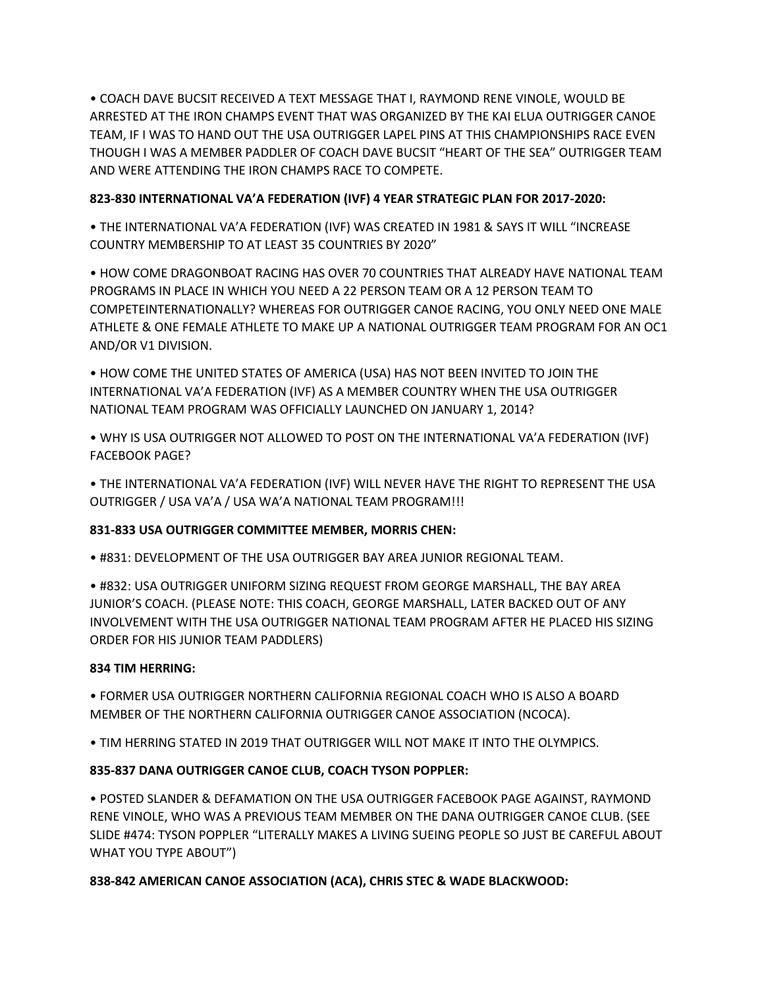• COACH DAVE BUCSIT RECEIVED A TEXT MESSAGE THAT I, RAYMOND RENE VINOLE, WOULD BE ARRESTED AT THE IRON CHAMPS EVENT THAT WAS ORGANIZED BY THE KAI ELUA OUTRIGGER CANOE TEAM, IF I WAS TO HAND OUT THE USA OUTRIGGER LAPEL PINS AT THIS CHAMPIONSHIPS RACE EVEN THOUGH I WAS A MEMBER PADDLER OF COACH DAVE BUCSIT "HEART OF THE SEA" OUTRIGGER TEAM AND WERE ATTENDING THE IRON CHAMPS RACE TO COMPETE.

## **823-830 INTERNATIONAL VA'A FEDERATION (IVF) 4 YEAR STRATEGIC PLAN FOR 2017-2020:**

• THE INTERNATIONAL VA'A FEDERATION (IVF) WAS CREATED IN 1981 & SAYS IT WILL "INCREASE COUNTRY MEMBERSHIP TO AT LEAST 35 COUNTRIES BY 2020"

• HOW COME DRAGONBOAT RACING HAS OVER 70 COUNTRIES THAT ALREADY HAVE NATIONAL TEAM PROGRAMS IN PLACE IN WHICH YOU NEED A 22 PERSON TEAM OR A 12 PERSON TEAM TO COMPETEINTERNATIONALLY? WHEREAS FOR OUTRIGGER CANOE RACING, YOU ONLY NEED ONE MALE ATHLETE & ONE FEMALE ATHLETE TO MAKE UP A NATIONAL OUTRIGGER TEAM PROGRAM FOR AN OC1 AND/OR V1 DIVISION.

• HOW COME THE UNITED STATES OF AMERICA (USA) HAS NOT BEEN INVITED TO JOIN THE INTERNATIONAL VA'A FEDERATION (IVF) AS A MEMBER COUNTRY WHEN THE USA OUTRIGGER NATIONAL TEAM PROGRAM WAS OFFICIALLY LAUNCHED ON JANUARY 1, 2014?

• WHY IS USA OUTRIGGER NOT ALLOWED TO POST ON THE INTERNATIONAL VA'A FEDERATION (IVF) FACEBOOK PAGE?

• THE INTERNATIONAL VA'A FEDERATION (IVF) WILL NEVER HAVE THE RIGHT TO REPRESENT THE USA OUTRIGGER / USA VA'A / USA WA'A NATIONAL TEAM PROGRAM!!!

## **831-833 USA OUTRIGGER COMMITTEE MEMBER, MORRIS CHEN:**

• #831: DEVELOPMENT OF THE USA OUTRIGGER BAY AREA JUNIOR REGIONAL TEAM.

• #832: USA OUTRIGGER UNIFORM SIZING REQUEST FROM GEORGE MARSHALL, THE BAY AREA JUNIOR'S COACH. (PLEASE NOTE: THIS COACH, GEORGE MARSHALL, LATER BACKED OUT OF ANY INVOLVEMENT WITH THE USA OUTRIGGER NATIONAL TEAM PROGRAM AFTER HE PLACED HIS SIZING ORDER FOR HIS JUNIOR TEAM PADDLERS)

## **834 TIM HERRING:**

• FORMER USA OUTRIGGER NORTHERN CALIFORNIA REGIONAL COACH WHO IS ALSO A BOARD MEMBER OF THE NORTHERN CALIFORNIA OUTRIGGER CANOE ASSOCIATION (NCOCA).

• TIM HERRING STATED IN 2019 THAT OUTRIGGER WILL NOT MAKE IT INTO THE OLYMPICS.

# **835-837 DANA OUTRIGGER CANOE CLUB, COACH TYSON POPPLER:**

• POSTED SLANDER & DEFAMATION ON THE USA OUTRIGGER FACEBOOK PAGE AGAINST, RAYMOND RENE VINOLE, WHO WAS A PREVIOUS TEAM MEMBER ON THE DANA OUTRIGGER CANOE CLUB. (SEE SLIDE #474: TYSON POPPLER "LITERALLY MAKES A LIVING SUEING PEOPLE SO JUST BE CAREFUL ABOUT WHAT YOU TYPE ABOUT")

**838-842 AMERICAN CANOE ASSOCIATION (ACA), CHRIS STEC & WADE BLACKWOOD:**